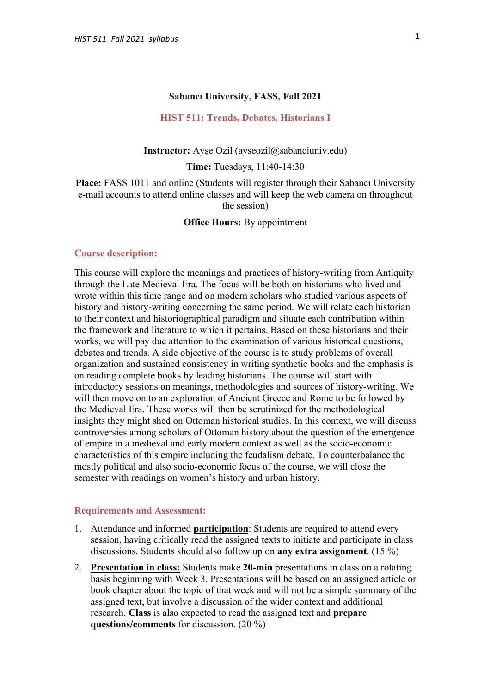#### **Sabancı University, FASS, Fall 2021**

#### **HIST 511: Trends, Debates, Historians I**

**Instructor:** Ayse Ozil (ayseozil@sabanciuniv.edu)

**Time:** Tuesdays, 11:40-14:30

**Place:** FASS 1011 and online (Students will register through their Sabancı University e-mail accounts to attend online classes and will keep the web camera on throughout the session)

**Office Hours: By appointment** 

#### **Course description:**

This course will explore the meanings and practices of history-writing from Antiquity through the Late Medieval Era. The focus will be both on historians who lived and wrote within this time range and on modern scholars who studied various aspects of history and history-writing concerning the same period. We will relate each historian to their context and historiographical paradigm and situate each contribution within the framework and literature to which it pertains. Based on these historians and their works, we will pay due attention to the examination of various historical questions, debates and trends. A side objective of the course is to study problems of overall organization and sustained consistency in writing synthetic books and the emphasis is on reading complete books by leading historians. The course will start with introductory sessions on meanings, methodologies and sources of history-writing. We will then move on to an exploration of Ancient Greece and Rome to be followed by the Medieval Era. These works will then be scrutinized for the methodological insights they might shed on Ottoman historical studies. In this context, we will discuss controversies among scholars of Ottoman history about the question of the emergence of empire in a medieval and early modern context as well as the socio-economic characteristics of this empire including the feudalism debate. To counterbalance the mostly political and also socio-economic focus of the course, we will close the semester with readings on women's history and urban history.

## **Requirements and Assessment:**

- 1. Attendance and informed **participation**: Students are required to attend every session, having critically read the assigned texts to initiate and participate in class discussions. Students should also follow up on **any extra assignment**. (15 %)
- 2. **Presentation in class:** Students make **20-min** presentations in class on a rotating basis beginning with Week 3. Presentations will be based on an assigned article or book chapter about the topic of that week and will not be a simple summary of the assigned text, but involve a discussion of the wider context and additional research. **Class** is also expected to read the assigned text and **prepare questions/comments** for discussion. (20 %)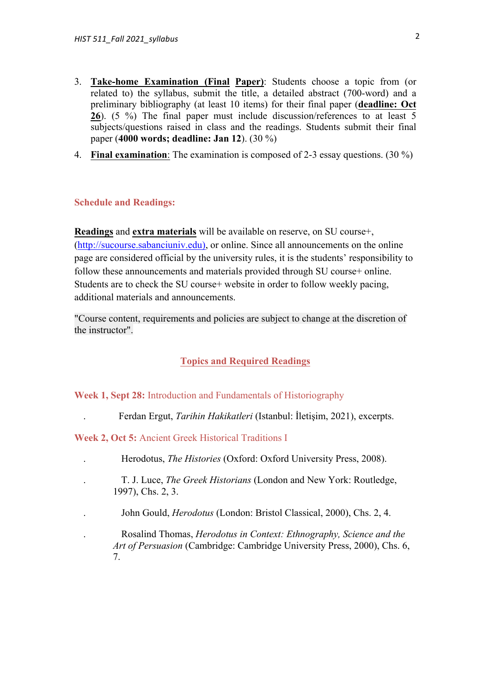- 3. **Take-home Examination (Final Paper)**: Students choose a topic from (or related to) the syllabus, submit the title, a detailed abstract (700-word) and a preliminary bibliography (at least 10 items) for their final paper (**deadline: Oct 26**). (5 %) The final paper must include discussion/references to at least 5 subjects/questions raised in class and the readings. Students submit their final paper (**4000 words; deadline: Jan 12**). (30 %)
- 4. **Final examination**: The examination is composed of 2-3 essay questions. (30 %)

## **Schedule and Readings:**

**Readings** and **extra materials** will be available on reserve, on SU course+, (http://sucourse.sabanciuniv.edu), or online. Since all announcements on the online page are considered official by the university rules, it is the students' responsibility to follow these announcements and materials provided through SU course+ online. Students are to check the SU course+ website in order to follow weekly pacing, additional materials and announcements.

"Course content, requirements and policies are subject to change at the discretion of the instructor".

# **Topics and Required Readings**

## **Week 1, Sept 28:** Introduction and Fundamentals of Historiography

. Ferdan Ergut, *Tarihin Hakikatleri* (Istanbul: İletişim, 2021), excerpts.

## **Week 2, Oct 5:** Ancient Greek Historical Traditions I

- . Herodotus, *The Histories* (Oxford: Oxford University Press, 2008).
- . T. J. Luce, *The Greek Historians* (London and New York: Routledge, 1997), Chs. 2, 3.
- . John Gould, *Herodotus* (London: Bristol Classical, 2000), Chs. 2, 4.
	- . Rosalind Thomas, *Herodotus in Context: Ethnography, Science and the Art of Persuasion* (Cambridge: Cambridge University Press, 2000), Chs. 6, 7.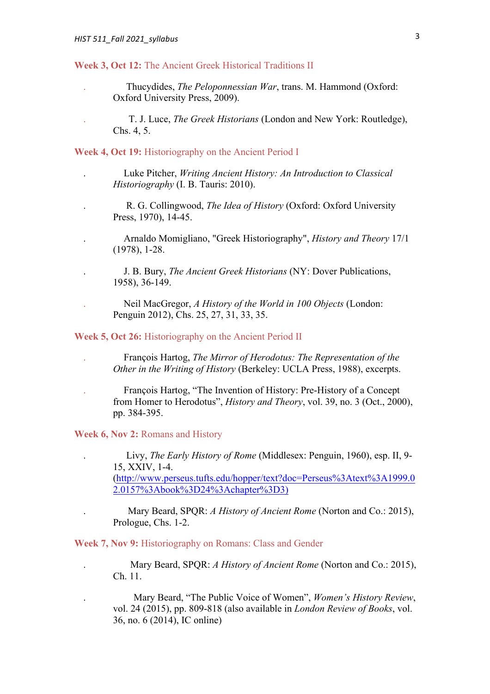**Week 3, Oct 12:** The Ancient Greek Historical Traditions II

- . Thucydides, *The Peloponnessian War*, trans. M. Hammond (Oxford: Oxford University Press, 2009).
- . T. J. Luce, *The Greek Historians* (London and New York: Routledge), Chs. 4, 5.

**Week 4, Oct 19:** Historiography on the Ancient Period I

- . Luke Pitcher, *Writing Ancient History: An Introduction to Classical Historiography* (I. B. Tauris: 2010).
	- . R. G. Collingwood, *The Idea of History* (Oxford: Oxford University Press, 1970), 14-45.
- .Arnaldo Momigliano, "Greek Historiography", *History and Theory* 17/1 (1978), 1-28.
- . J. B. Bury, *The Ancient Greek Historians* (NY: Dover Publications, 1958), 36-149.
- . Neil MacGregor, *A History of the World in 100 Objects* (London: Penguin 2012), Chs. 25, 27, 31, 33, 35.
- **Week 5, Oct 26:** Historiography on the Ancient Period II
	- . François Hartog, *The Mirror of Herodotus: The Representation of the Other in the Writing of History* (Berkeley: UCLA Press, 1988), excerpts.
	- . François Hartog, "The Invention of History: Pre-History of a Concept from Homer to Herodotus", *History and Theory*, vol. 39, no. 3 (Oct., 2000), pp. 384-395.

**Week 6, Nov 2:** Romans and History

. Livy, *The Early History of Rome* (Middlesex: Penguin, 1960), esp. II, 9- 15, XXIV, 1-4. (http://www.perseus.tufts.edu/hopper/text?doc=Perseus%3Atext%3A1999.0 2.0157%3Abook%3D24%3Achapter%3D3)

. Mary Beard, SPQR: *A History of Ancient Rome* (Norton and Co.: 2015), Prologue, Chs. 1-2.

**Week 7, Nov 9:** Historiography on Romans: Class and Gender

. Mary Beard, SPQR: *A History of Ancient Rome* (Norton and Co.: 2015), Ch. 11.

. Mary Beard, "The Public Voice of Women", *Women's History Review*, vol. 24 (2015), pp. 809-818 (also available in *London Review of Books*, vol. 36, no. 6 (2014), IC online)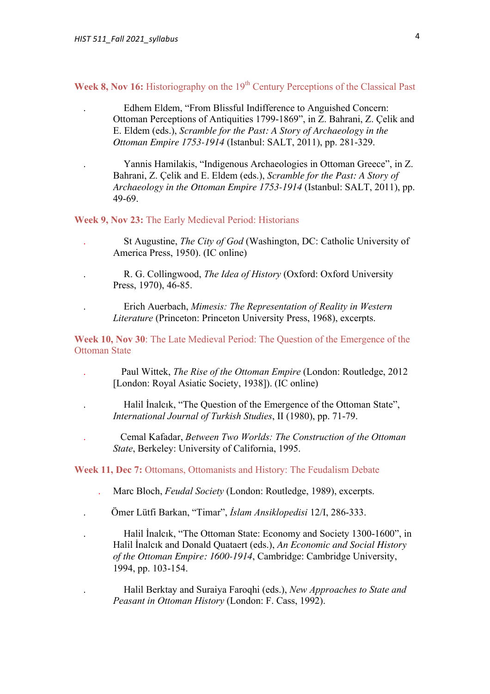**Week 8, Nov 16:** Historiography on the 19<sup>th</sup> Century Perceptions of the Classical Past

. Edhem Eldem, "From Blissful Indifference to Anguished Concern: Ottoman Perceptions of Antiquities 1799-1869", in Z. Bahrani, Z. Çelik and E. Eldem (eds.), *Scramble for the Past: A Story of Archaeology in the Ottoman Empire 1753-1914* (Istanbul: SALT, 2011), pp. 281-329.

. Yannis Hamilakis, "Indigenous Archaeologies in Ottoman Greece", in Z. Bahrani, Z. Çelik and E. Eldem (eds.), *Scramble for the Past: A Story of Archaeology in the Ottoman Empire 1753-1914* (Istanbul: SALT, 2011), pp. 49-69.

**Week 9, Nov 23:** The Early Medieval Period: Historians

- . St Augustine, *The City of God* (Washington, DC: Catholic University of America Press, 1950). (IC online)
- . R. G. Collingwood, *The Idea of History* (Oxford: Oxford University Press, 1970), 46-85.
- . Erich Auerbach, *Mimesis: The Representation of Reality in Western Literature* (Princeton: Princeton University Press, 1968), excerpts.

**Week 10, Nov 30**: The Late Medieval Period: The Question of the Emergence of the Ottoman State

- .Paul Wittek, *The Rise of the Ottoman Empire* (London: Routledge, 2012 [London: Royal Asiatic Society, 1938]). (IC online)
- . Halil İnalcık, "The Question of the Emergence of the Ottoman State", *International Journal of Turkish Studies*, II (1980), pp. 71-79.
- . Cemal Kafadar, *Between Two Worlds: The Construction of the Ottoman State*, Berkeley: University of California, 1995.

**Week 11, Dec 7:** Ottomans, Ottomanists and History: The Feudalism Debate

- . Marc Bloch, *Feudal Society* (London: Routledge, 1989), excerpts.
- . Ömer Lütfi Barkan, "Timar", *İslam Ansiklopedisi* 12/I, 286-333.

. Halil İnalcık, "The Ottoman State: Economy and Society 1300-1600", in Halil İnalcık and Donald Quataert (eds.), *An Economic and Social History of the Ottoman Empire: 1600-1914*, Cambridge: Cambridge University, 1994, pp. 103-154.

. Halil Berktay and Suraiya Faroqhi (eds.), *New Approaches to State and Peasant in Ottoman History* (London: F. Cass, 1992).